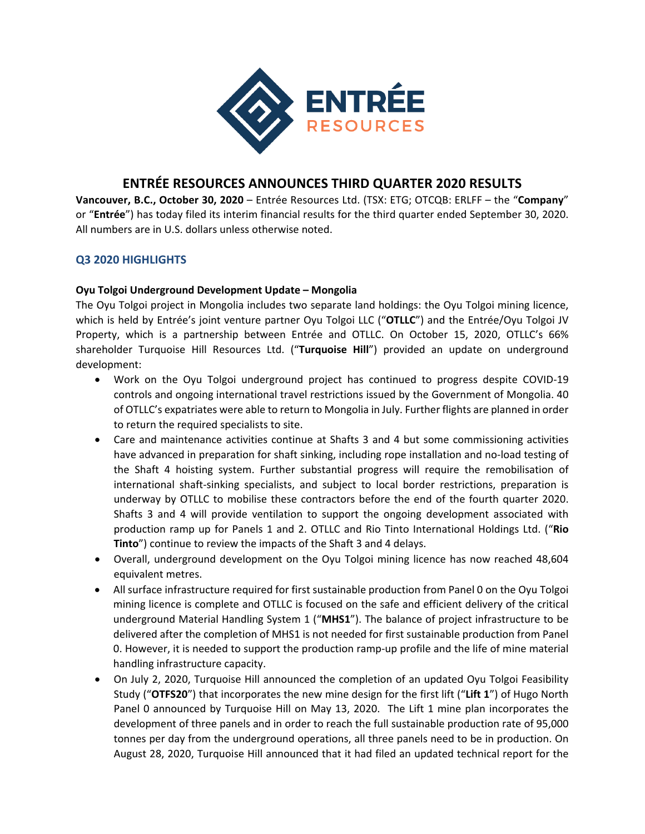

# **ENTRÉE RESOURCES ANNOUNCES THIRD QUARTER 2020 RESULTS**

**Vancouver, B.C., October 30, 2020** – Entrée Resources Ltd. (TSX: ETG; OTCQB: ERLFF – the "**Company**" or "**Entrée**") has today filed its interim financial results for the third quarter ended September 30, 2020. All numbers are in U.S. dollars unless otherwise noted.

## **Q3 2020 HIGHLIGHTS**

### **Oyu Tolgoi Underground Development Update – Mongolia**

The Oyu Tolgoi project in Mongolia includes two separate land holdings: the Oyu Tolgoi mining licence, which is held by Entrée's joint venture partner Oyu Tolgoi LLC ("**OTLLC**") and the Entrée/Oyu Tolgoi JV Property, which is a partnership between Entrée and OTLLC. On October 15, 2020, OTLLC's 66% shareholder Turquoise Hill Resources Ltd. ("**Turquoise Hill**") provided an update on underground development:

- Work on the Oyu Tolgoi underground project has continued to progress despite COVID-19 controls and ongoing international travel restrictions issued by the Government of Mongolia. 40 of OTLLC's expatriates were able to return to Mongolia in July. Further flights are planned in order to return the required specialists to site.
- Care and maintenance activities continue at Shafts 3 and 4 but some commissioning activities have advanced in preparation for shaft sinking, including rope installation and no‐load testing of the Shaft 4 hoisting system. Further substantial progress will require the remobilisation of international shaft-sinking specialists, and subject to local border restrictions, preparation is underway by OTLLC to mobilise these contractors before the end of the fourth quarter 2020. Shafts 3 and 4 will provide ventilation to support the ongoing development associated with production ramp up for Panels 1 and 2. OTLLC and Rio Tinto International Holdings Ltd. ("**Rio Tinto**") continue to review the impacts of the Shaft 3 and 4 delays.
- Overall, underground development on the Oyu Tolgoi mining licence has now reached 48,604 equivalent metres.
- All surface infrastructure required for first sustainable production from Panel 0 on the Oyu Tolgoi mining licence is complete and OTLLC is focused on the safe and efficient delivery of the critical underground Material Handling System 1 ("**MHS1**"). The balance of project infrastructure to be delivered after the completion of MHS1 is not needed for first sustainable production from Panel 0. However, it is needed to support the production ramp‐up profile and the life of mine material handling infrastructure capacity.
- On July 2, 2020, Turquoise Hill announced the completion of an updated Oyu Tolgoi Feasibility Study ("**OTFS20**") that incorporates the new mine design for the first lift ("**Lift 1**") of Hugo North Panel 0 announced by Turquoise Hill on May 13, 2020. The Lift 1 mine plan incorporates the development of three panels and in order to reach the full sustainable production rate of 95,000 tonnes per day from the underground operations, all three panels need to be in production. On August 28, 2020, Turquoise Hill announced that it had filed an updated technical report for the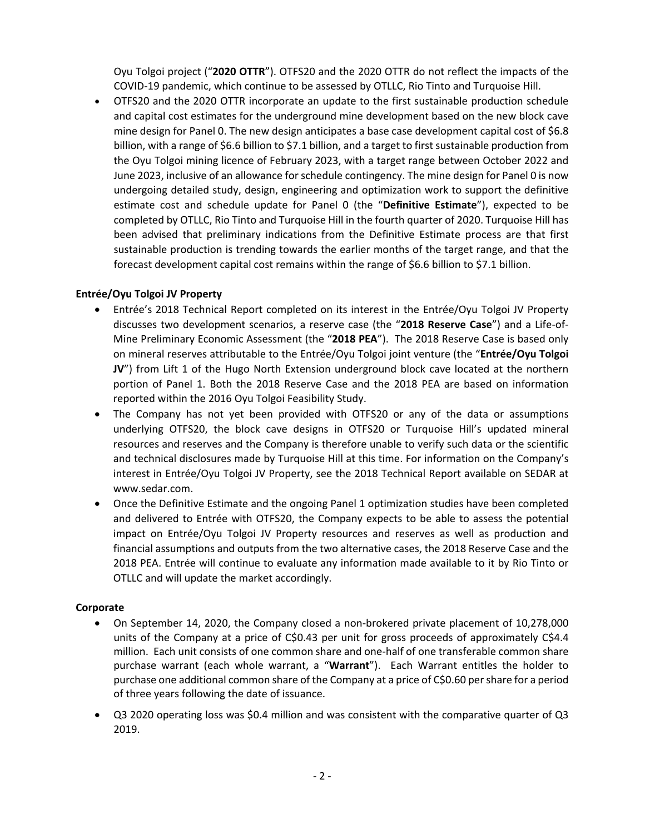Oyu Tolgoi project ("**2020 OTTR**"). OTFS20 and the 2020 OTTR do not reflect the impacts of the COVID‐19 pandemic, which continue to be assessed by OTLLC, Rio Tinto and Turquoise Hill.

 OTFS20 and the 2020 OTTR incorporate an update to the first sustainable production schedule and capital cost estimates for the underground mine development based on the new block cave mine design for Panel 0. The new design anticipates a base case development capital cost of \$6.8 billion, with a range of \$6.6 billion to \$7.1 billion, and a target to first sustainable production from the Oyu Tolgoi mining licence of February 2023, with a target range between October 2022 and June 2023, inclusive of an allowance for schedule contingency. The mine design for Panel 0 is now undergoing detailed study, design, engineering and optimization work to support the definitive estimate cost and schedule update for Panel 0 (the "**Definitive Estimate**"), expected to be completed by OTLLC, Rio Tinto and Turquoise Hill in the fourth quarter of 2020. Turquoise Hill has been advised that preliminary indications from the Definitive Estimate process are that first sustainable production is trending towards the earlier months of the target range, and that the forecast development capital cost remains within the range of \$6.6 billion to \$7.1 billion.

## **Entrée/Oyu Tolgoi JV Property**

- Entrée's 2018 Technical Report completed on its interest in the Entrée/Oyu Tolgoi JV Property discusses two development scenarios, a reserve case (the "**2018 Reserve Case**") and a Life‐of‐ Mine Preliminary Economic Assessment (the "**2018 PEA**"). The 2018 Reserve Case is based only on mineral reserves attributable to the Entrée/Oyu Tolgoi joint venture (the "**Entrée/Oyu Tolgoi JV**") from Lift 1 of the Hugo North Extension underground block cave located at the northern portion of Panel 1. Both the 2018 Reserve Case and the 2018 PEA are based on information reported within the 2016 Oyu Tolgoi Feasibility Study.
- The Company has not yet been provided with OTFS20 or any of the data or assumptions underlying OTFS20, the block cave designs in OTFS20 or Turquoise Hill's updated mineral resources and reserves and the Company is therefore unable to verify such data or the scientific and technical disclosures made by Turquoise Hill at this time. For information on the Company's interest in Entrée/Oyu Tolgoi JV Property, see the 2018 Technical Report available on SEDAR at www.sedar.com.
- Once the Definitive Estimate and the ongoing Panel 1 optimization studies have been completed and delivered to Entrée with OTFS20, the Company expects to be able to assess the potential impact on Entrée/Oyu Tolgoi JV Property resources and reserves as well as production and financial assumptions and outputs from the two alternative cases, the 2018 Reserve Case and the 2018 PEA. Entrée will continue to evaluate any information made available to it by Rio Tinto or OTLLC and will update the market accordingly.

#### **Corporate**

- On September 14, 2020, the Company closed a non‐brokered private placement of 10,278,000 units of the Company at a price of C\$0.43 per unit for gross proceeds of approximately C\$4.4 million. Each unit consists of one common share and one‐half of one transferable common share purchase warrant (each whole warrant, a "**Warrant**"). Each Warrant entitles the holder to purchase one additional common share of the Company at a price of C\$0.60 per share for a period of three years following the date of issuance.
- Q3 2020 operating loss was \$0.4 million and was consistent with the comparative quarter of Q3 2019.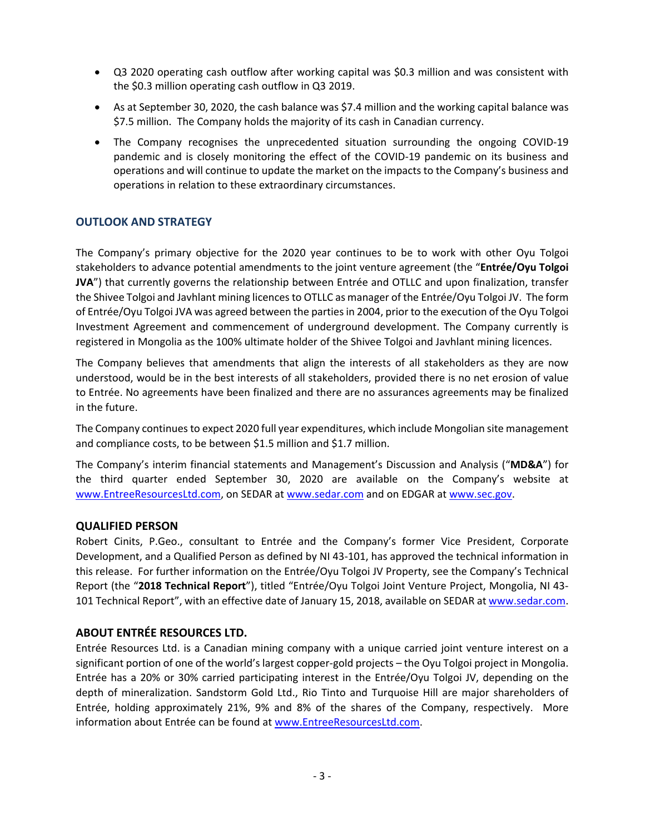- Q3 2020 operating cash outflow after working capital was \$0.3 million and was consistent with the \$0.3 million operating cash outflow in Q3 2019.
- As at September 30, 2020, the cash balance was \$7.4 million and the working capital balance was \$7.5 million. The Company holds the majority of its cash in Canadian currency.
- The Company recognises the unprecedented situation surrounding the ongoing COVID-19 pandemic and is closely monitoring the effect of the COVID‐19 pandemic on its business and operations and will continue to update the market on the impacts to the Company's business and operations in relation to these extraordinary circumstances.

## **OUTLOOK AND STRATEGY**

The Company's primary objective for the 2020 year continues to be to work with other Oyu Tolgoi stakeholders to advance potential amendments to the joint venture agreement (the "**Entrée/Oyu Tolgoi JVA**") that currently governs the relationship between Entrée and OTLLC and upon finalization, transfer the Shivee Tolgoi and Javhlant mining licencesto OTLLC as manager of the Entrée/Oyu Tolgoi JV. The form of Entrée/Oyu Tolgoi JVA was agreed between the partiesin 2004, prior to the execution of the Oyu Tolgoi Investment Agreement and commencement of underground development. The Company currently is registered in Mongolia as the 100% ultimate holder of the Shivee Tolgoi and Javhlant mining licences.

The Company believes that amendments that align the interests of all stakeholders as they are now understood, would be in the best interests of all stakeholders, provided there is no net erosion of value to Entrée. No agreements have been finalized and there are no assurances agreements may be finalized in the future.

The Company continues to expect 2020 full year expenditures, which include Mongolian site management and compliance costs, to be between \$1.5 million and \$1.7 million.

The Company's interim financial statements and Management's Discussion and Analysis ("**MD&A**") for the third quarter ended September 30, 2020 are available on the Company's website at www.EntreeResourcesLtd.com, on SEDAR at www.sedar.com and on EDGAR at www.sec.gov.

## **QUALIFIED PERSON**

Robert Cinits, P.Geo., consultant to Entrée and the Company's former Vice President, Corporate Development, and a Qualified Person as defined by NI 43‐101, has approved the technical information in this release.For further information on the Entrée/Oyu Tolgoi JV Property, see the Company's Technical Report (the "**2018 Technical Report**"), titled "Entrée/Oyu Tolgoi Joint Venture Project, Mongolia, NI 43‐ 101 Technical Report", with an effective date of January 15, 2018, available on SEDAR at www.sedar.com.

### **ABOUT ENTRÉE RESOURCES LTD.**

Entrée Resources Ltd. is a Canadian mining company with a unique carried joint venture interest on a significant portion of one of the world's largest copper-gold projects – the Oyu Tolgoi project in Mongolia. Entrée has a 20% or 30% carried participating interest in the Entrée/Oyu Tolgoi JV, depending on the depth of mineralization. Sandstorm Gold Ltd., Rio Tinto and Turquoise Hill are major shareholders of Entrée, holding approximately 21%, 9% and 8% of the shares of the Company, respectively. More information about Entrée can be found at www.EntreeResourcesLtd.com.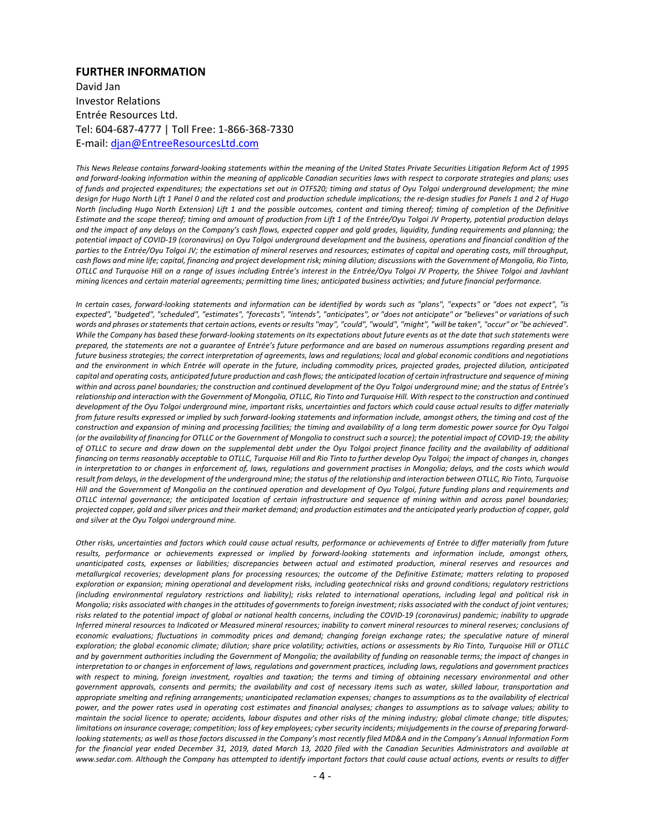#### **FURTHER INFORMATION**

David Jan Investor Relations Entrée Resources Ltd. Tel: 604‐687‐4777 | Toll Free: 1‐866‐368‐7330 E‐mail: djan@EntreeResourcesLtd.com

This News Release contains forward-looking statements within the meaning of the United States Private Securities Litigation Reform Act of 1995 and forward-looking information within the meaning of applicable Canadian securities laws with respect to corporate strategies and plans; uses of funds and projected expenditures; the expectations set out in OTFS20; timing and status of Oyu Tolgoi underground development; the mine design for Hugo North Lift 1 Panel 0 and the related cost and production schedule implications; the re-design studies for Panels 1 and 2 of Hugo North (including Hugo North Extension) Lift 1 and the possible outcomes, content and timing thereof; timing of completion of the Definitive Estimate and the scope thereof; timing and amount of production from Lift 1 of the Entrée/Oyu Tolgoi JV Property, potential production delays and the impact of any delays on the Company's cash flows, expected copper and gold grades, liquidity, funding requirements and planning; the potential impact of COVID-19 (coronavirus) on Oyu Tolgoi underground development and the business, operations and financial condition of the parties to the Entrée/Oyu Tolgoi JV; the estimation of mineral reserves and resources; estimates of capital and operating costs, mill throughput, cash flows and mine life; capital, financing and project development risk; mining dilution; discussions with the Government of Mongolia, Rio Tinto, OTLLC and Turquoise Hill on a range of issues including Entrée's interest in the Entrée/Oyu Tolgoi JV Property, the Shivee Tolgoi and Javhlant mining licences and certain material agreements; permitting time lines; anticipated business activities; and future financial performance.

In certain cases, forward-looking statements and information can be identified by words such as "plans", "expects" or "does not expect", "is expected", "budgeted", "scheduled", "estimates", "forecasts", "intends", "anticipates", or "does not anticipate" or "believes" or variations of such words and phrases or statements that certain actions, events or results "may", "could", "would", "might", "will be taken", "occur" or "be achieved". While the Company has based these forward-looking statements on its expectations about future events as at the date that such statements were prepared, the statements are not a guarantee of Entrée's future performance and are based on numerous assumptions regarding present and future business strategies; the correct interpretation of agreements, laws and regulations; local and global economic conditions and negotiations and the environment in which Entrée will operate in the future, including commodity prices, projected grades, projected dilution, anticipated capital and operating costs, anticipated future production and cash flows; the anticipated location of certain infrastructure and sequence of mining within and across panel boundaries; the construction and continued development of the Oyu Tolgoi underground mine; and the status of Entrée's relationship and interaction with the Government of Mongolia, OTLLC, Rio Tinto and Turquoise Hill. With respect to the construction and continued development of the Oyu Tolgoi underground mine, important risks, uncertainties and factors which could cause actual results to differ materially from future results expressed or implied by such forward-looking statements and information include, amongst others, the timing and cost of the construction and expansion of mining and processing facilities; the timing and availability of a long term domestic power source for Oyu Tolgoi (or the availability of financing for OTLLC or the Government of Mongolia to construct such a source); the potential impact of COVID-19; the ability of OTLLC to secure and draw down on the supplemental debt under the Oyu Tolgoi project finance facility and the availability of additional financing on terms reasonably acceptable to OTLLC, Turquoise Hill and Rio Tinto to further develop Oyu Tolgoi; the impact of changes in, changes in interpretation to or changes in enforcement of, laws, regulations and government practises in Mongolia; delays, and the costs which would result from delays, in the development of the underground mine; the status of the relationship and interaction between OTLLC, Rio Tinto, Turquoise Hill and the Government of Mongolia on the continued operation and development of Oyu Tolgoi, future funding plans and requirements and OTLLC internal governance; the anticipated location of certain infrastructure and sequence of mining within and across panel boundaries; projected copper, gold and silver prices and their market demand; and production estimates and the anticipated yearly production of copper, gold *and silver at the Oyu Tolgoi underground mine.* 

Other risks, uncertainties and factors which could cause actual results, performance or achievements of Entrée to differ materially from future results, performance or achievements expressed or implied by forward-looking statements and information include, amongst others, unanticipated costs, expenses or liabilities; discrepancies between actual and estimated production, mineral reserves and resources and metallurgical recoveries; development plans for processing resources; the outcome of the Definitive Estimate; matters relating to proposed exploration or expansion; mining operational and development risks, including geotechnical risks and ground conditions; regulatory restrictions (including environmental regulatory restrictions and liability); risks related to international operations, including legal and political risk in Mongolia; risks associated with changes in the attitudes of governments to foreign investment; risks associated with the conduct of joint ventures; risks related to the potential impact of global or national health concerns, including the COVID-19 (coronavirus) pandemic; inability to upgrade Inferred mineral resources to Indicated or Measured mineral resources; inability to convert mineral resources to mineral reserves; conclusions of economic evaluations; fluctuations in commodity prices and demand; changing foreign exchange rates; the speculative nature of mineral exploration; the alobal economic climate; dilution; share price volatility; activities, actions or assessments by Rio Tinto, Turquoise Hill or OTLLC and by government authorities including the Government of Mongolia; the availability of funding on reasonable terms; the impact of changes in interpretation to or changes in enforcement of laws, regulations and government practices, including laws, regulations and government practices with respect to mining, foreign investment, royalties and taxation; the terms and timing of obtaining necessary environmental and other government approvals, consents and permits; the availability and cost of necessary items such as water, skilled labour, transportation and appropriate smelting and refining arrangements; unanticipated reclamation expenses; changes to assumptions as to the availability of electrical power, and the power rates used in operating cost estimates and financial analyses; changes to assumptions as to salvage values; ability to maintain the social licence to operate; accidents, labour disputes and other risks of the mining industry; global climate change; title disputes; limitations on insurance coverage; competition; loss of key employees; cyber security incidents; misjudgements in the course of preparing forwardlooking statements; as well as those factors discussed in the Company's most recently filed MD&A and in the Company's Annual Information Form for the financial year ended December 31, 2019, dated March 13, 2020 filed with the Canadian Securities Administrators and available at www.sedar.com. Although the Company has attempted to identify important factors that could cause actual actions, events or results to differ